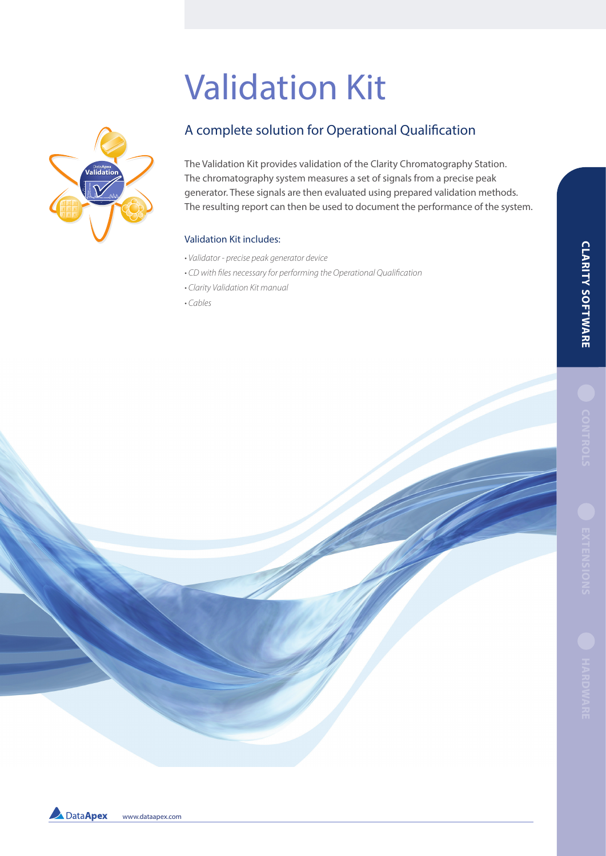# Validation Kit



# A complete solution for Operational Qualification

The Validation Kit provides validation of the Clarity Chromatography Station. The chromatography system measures a set of signals from a precise peak generator. These signals are then evaluated using prepared validation methods. The resulting report can then be used to document the performance of the system.

#### Validation Kit includes:

- Validator precise peak generator device
- CD with files necessary for performing the Operational Qualification
- Clarity Validation Kit manual
- Cables



Data Apex www.dataapex.com